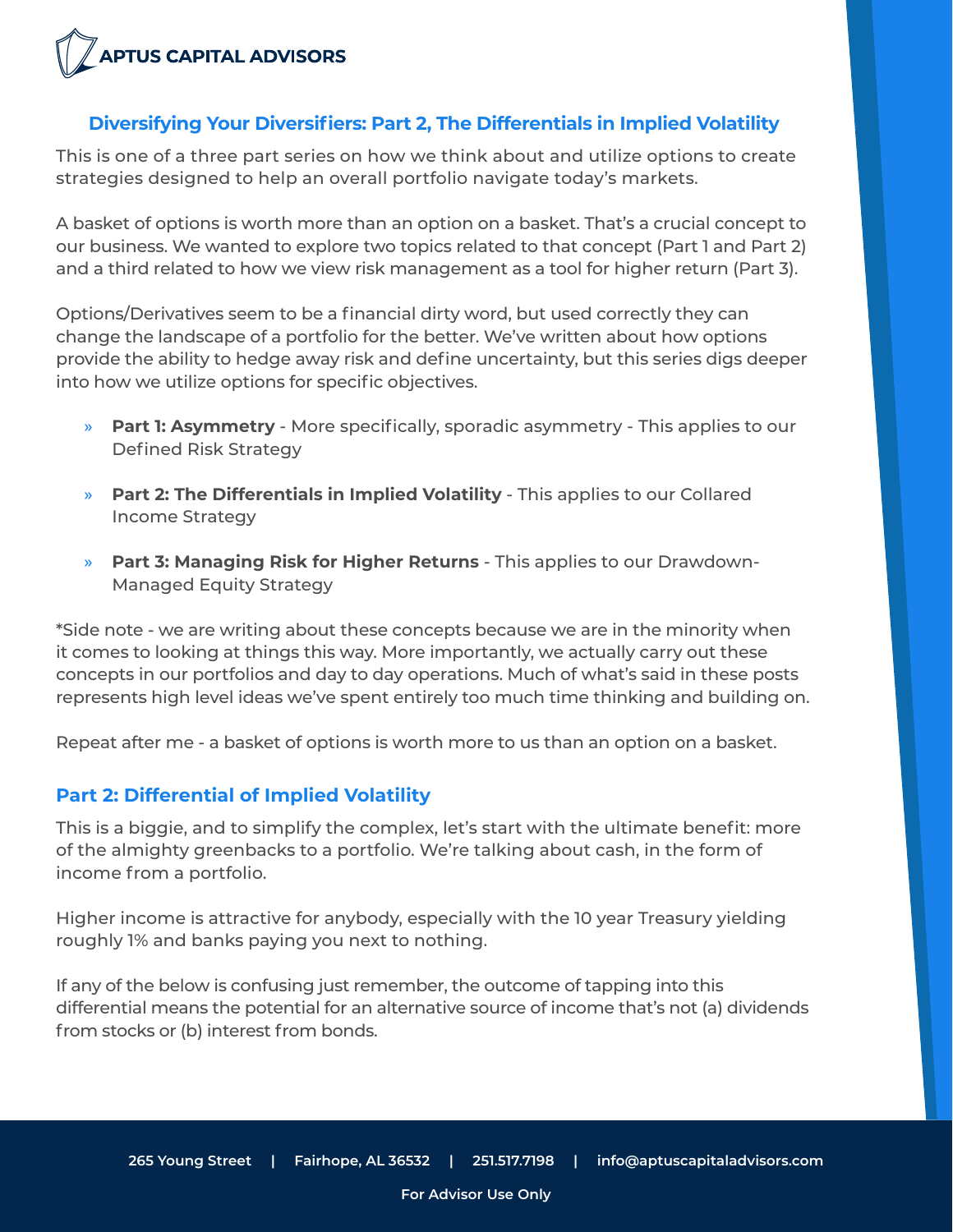

## **Diversifying Your Diversifiers: Part 2, The Differentials in Implied Volatility**

This is one of a three part series on how we think about and utilize options to create strategies designed to help an overall portfolio navigate today's markets.

A basket of options is worth more than an option on a basket. That's a crucial concept to our business. We wanted to explore two topics related to that concept (Part 1 and Part 2) and a third related to how we view risk management as a tool for higher return (Part 3).

Options/Derivatives seem to be a financial dirty word, but used correctly they can change the landscape of a portfolio for the better. We've written about how options provide the ability to hedge away risk and define uncertainty, but this series digs deeper into how we utilize options for specific objectives.

- » **Part 1: Asymmetry** More specifically, sporadic asymmetry This applies to our Defined Risk Strategy
- » **Part 2: The Differentials in Implied Volatility** This applies to our Collared Income Strategy
- » **Part 3: Managing Risk for Higher Returns** This applies to our Drawdown-Managed Equity Strategy

\*Side note - we are writing about these concepts because we are in the minority when it comes to looking at things this way. More importantly, we actually carry out these concepts in our portfolios and day to day operations. Much of what's said in these posts represents high level ideas we've spent entirely too much time thinking and building on.

Repeat after me - a basket of options is worth more to us than an option on a basket.

### **Part 2: Differential of Implied Volatility**

This is a biggie, and to simplify the complex, let's start with the ultimate benefit: more of the almighty greenbacks to a portfolio. We're talking about cash, in the form of income from a portfolio.

Higher income is attractive for anybody, especially with the 10 year Treasury yielding roughly 1% and banks paying you next to nothing.

If any of the below is confusing just remember, the outcome of tapping into this differential means the potential for an alternative source of income that's not (a) dividends from stocks or (b) interest from bonds.

**For Advisor Use Only**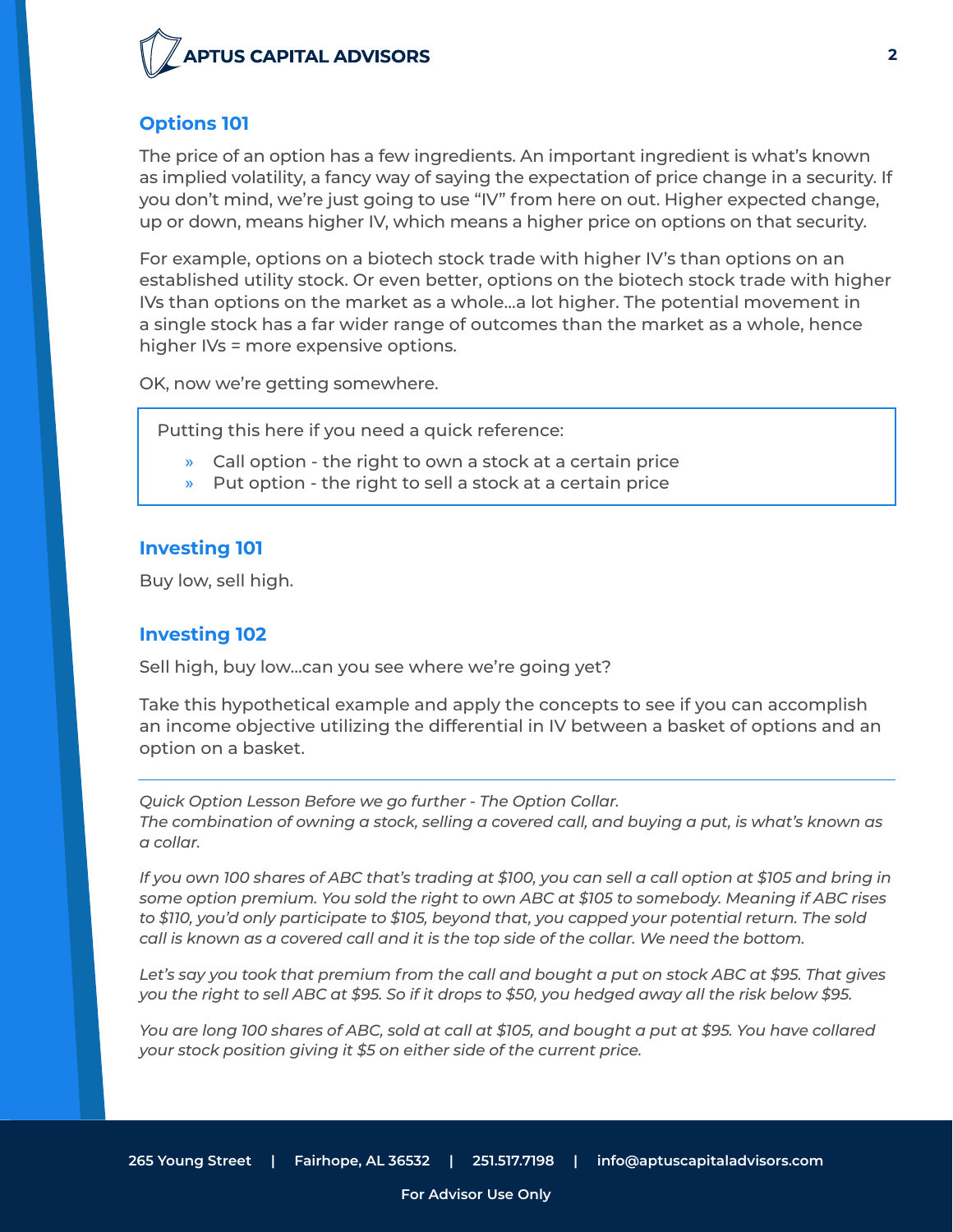

## **Options 101**

The price of an option has a few ingredients. An important ingredient is what's known as implied volatility, a fancy way of saying the expectation of price change in a security. If you don't mind, we're just going to use "IV" from here on out. Higher expected change, up or down, means higher IV, which means a higher price on options on that security.

For example, options on a biotech stock trade with higher IV's than options on an established utility stock. Or even better, options on the biotech stock trade with higher IVs than options on the market as a whole...a lot higher. The potential movement in a single stock has a far wider range of outcomes than the market as a whole, hence higher IVs = more expensive options.

OK, now we're getting somewhere.

Putting this here if you need a quick reference:

- » Call option the right to own a stock at a certain price
- Put option the right to sell a stock at a certain price

#### **Investing 101**

Buy low, sell high.

#### **Investing 102**

Sell high, buy low...can you see where we're going yet?

Take this hypothetical example and apply the concepts to see if you can accomplish an income objective utilizing the differential in IV between a basket of options and an option on a basket.

*Quick Option Lesson Before we go further - The Option Collar. The combination of owning a stock, selling a covered call, and buying a put, is what's known as a collar.*

*If you own 100 shares of ABC that's trading at \$100, you can sell a call option at \$105 and bring in some option premium. You sold the right to own ABC at \$105 to somebody. Meaning if ABC rises to \$110, you'd only participate to \$105, beyond that, you capped your potential return. The sold call is known as a covered call and it is the top side of the collar. We need the bottom.*

*Let's say you took that premium from the call and bought a put on stock ABC at \$95. That gives you the right to sell ABC at \$95. So if it drops to \$50, you hedged away all the risk below \$95.*

*You are long 100 shares of ABC, sold at call at \$105, and bought a put at \$95. You have collared your stock position giving it \$5 on either side of the current price.*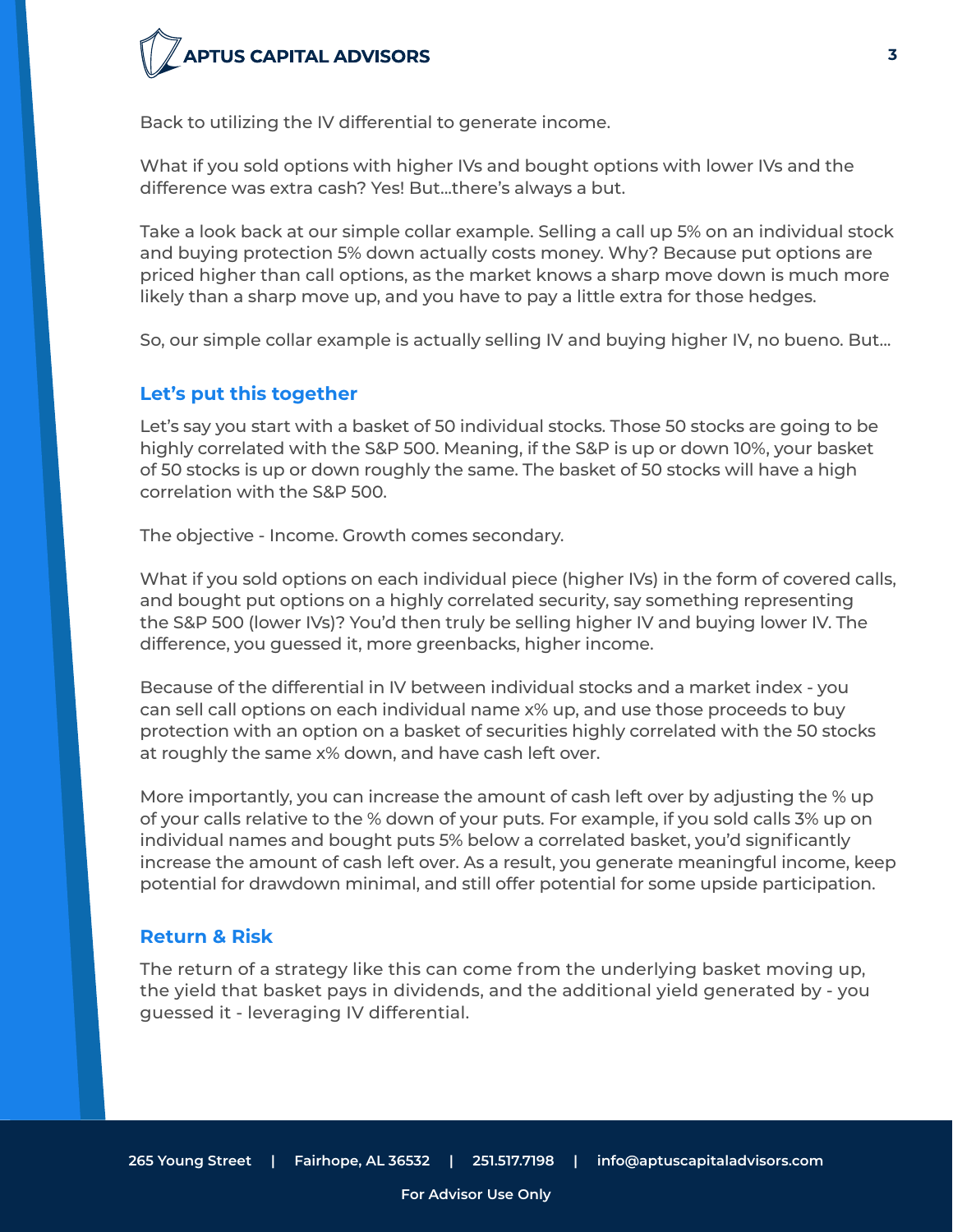# **PTUS CAPITAL ADVISORS**

Back to utilizing the IV differential to generate income.

What if you sold options with higher IVs and bought options with lower IVs and the difference was extra cash? Yes! But...there's always a but.

Take a look back at our simple collar example. Selling a call up 5% on an individual stock and buying protection 5% down actually costs money. Why? Because put options are priced higher than call options, as the market knows a sharp move down is much more likely than a sharp move up, and you have to pay a little extra for those hedges.

So, our simple collar example is actually selling IV and buying higher IV, no bueno. But...

#### **Let's put this together**

Let's say you start with a basket of 50 individual stocks. Those 50 stocks are going to be highly correlated with the S&P 500. Meaning, if the S&P is up or down 10%, your basket of 50 stocks is up or down roughly the same. The basket of 50 stocks will have a high correlation with the S&P 500.

The objective - Income. Growth comes secondary.

What if you sold options on each individual piece (higher IVs) in the form of covered calls, and bought put options on a highly correlated security, say something representing the S&P 500 (lower IVs)? You'd then truly be selling higher IV and buying lower IV. The difference, you guessed it, more greenbacks, higher income.

Because of the differential in IV between individual stocks and a market index - you can sell call options on each individual name x% up, and use those proceeds to buy protection with an option on a basket of securities highly correlated with the 50 stocks at roughly the same x% down, and have cash left over.

More importantly, you can increase the amount of cash left over by adjusting the % up of your calls relative to the % down of your puts. For example, if you sold calls 3% up on individual names and bought puts 5% below a correlated basket, you'd significantly increase the amount of cash left over. As a result, you generate meaningful income, keep potential for drawdown minimal, and still offer potential for some upside participation.

#### **Return & Risk**

The return of a strategy like this can come from the underlying basket moving up, the yield that basket pays in dividends, and the additional yield generated by - you guessed it - leveraging IV differential.

**For Advisor Use Only**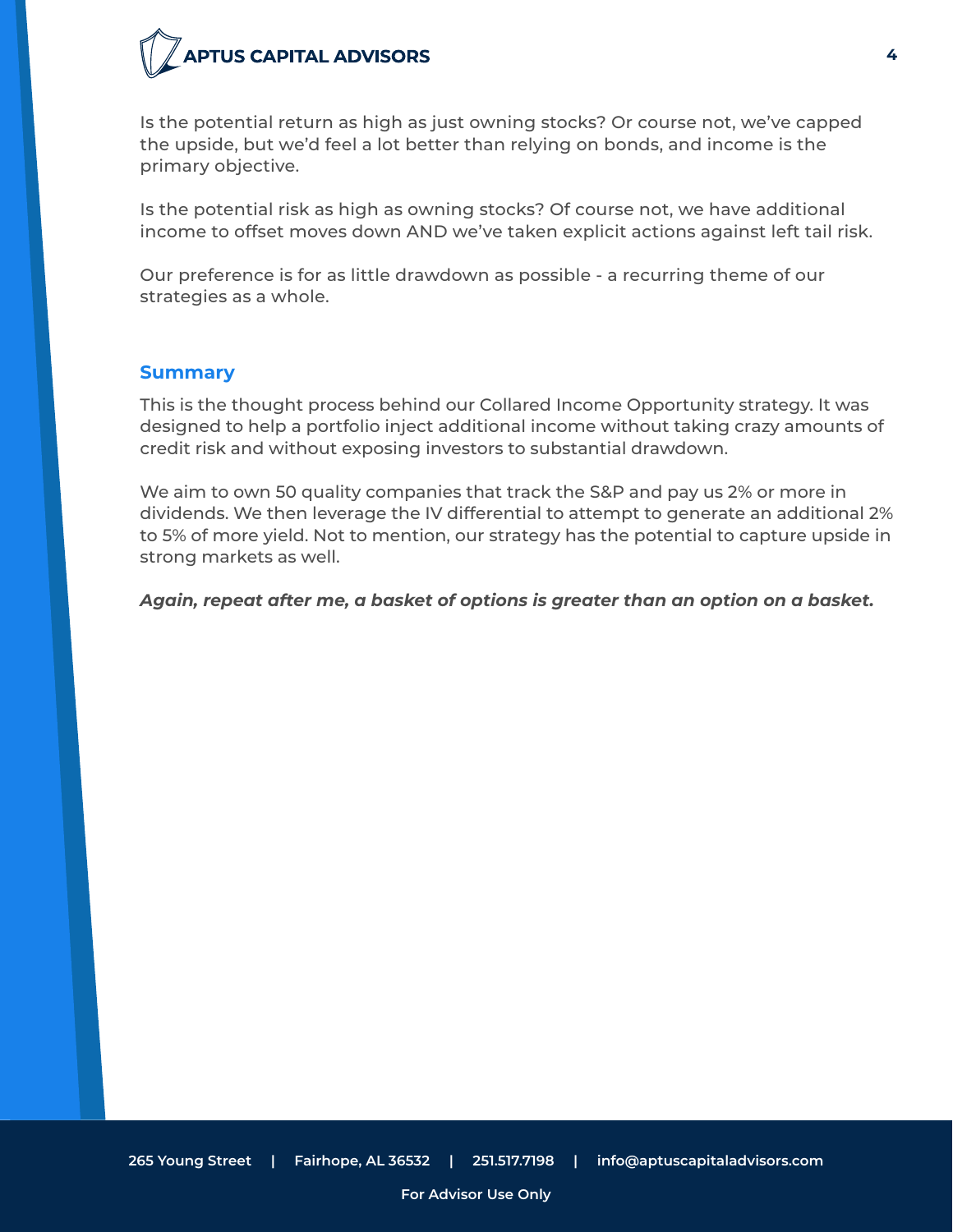## **PTUS CAPITAL ADVISORS**

Is the potential return as high as just owning stocks? Or course not, we've capped the upside, but we'd feel a lot better than relying on bonds, and income is the primary objective.

Is the potential risk as high as owning stocks? Of course not, we have additional income to offset moves down AND we've taken explicit actions against left tail risk.

Our preference is for as little drawdown as possible - a recurring theme of our strategies as a whole.

#### **Summary**

This is the thought process behind our Collared Income Opportunity strategy. It was designed to help a portfolio inject additional income without taking crazy amounts of credit risk and without exposing investors to substantial drawdown.

We aim to own 50 quality companies that track the S&P and pay us 2% or more in dividends. We then leverage the IV differential to attempt to generate an additional 2% to 5% of more yield. Not to mention, our strategy has the potential to capture upside in strong markets as well.

#### *Again, repeat after me, a basket of options is greater than an option on a basket.*